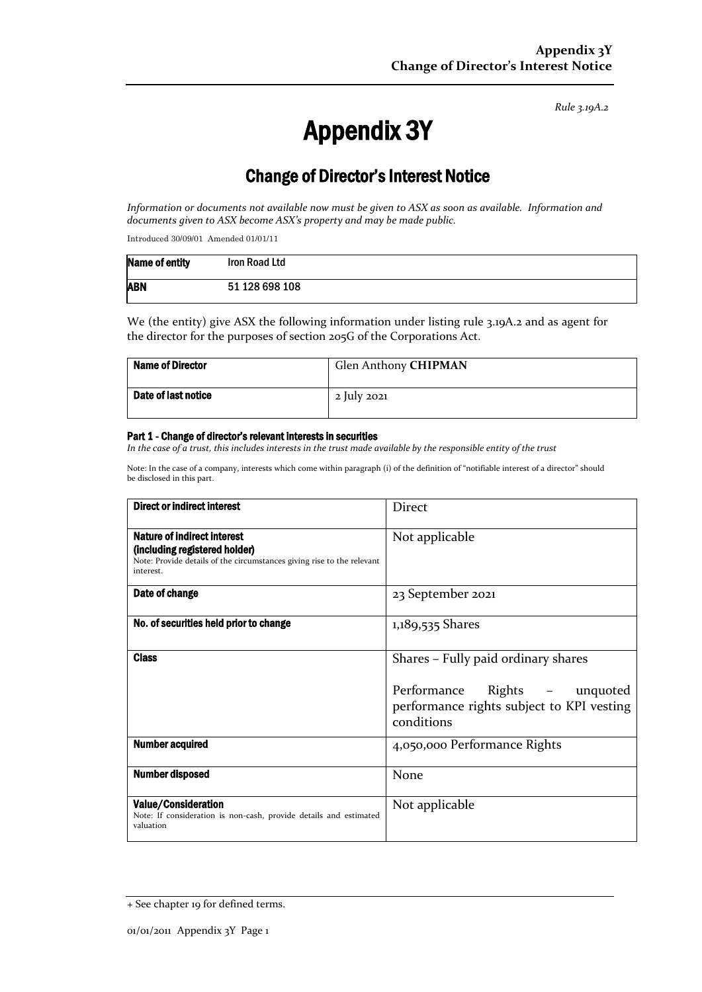*Rule 3.19A.2*

# Appendix 3Y

# Change of Director's Interest Notice

*Information or documents not available now must be given to ASX as soon as available. Information and documents given to ASX become ASX's property and may be made public.*

Introduced 30/09/01 Amended 01/01/11

| Name of entity | Iron Road Ltd  |
|----------------|----------------|
| <b>ABN</b>     | 51 128 698 108 |

We (the entity) give ASX the following information under listing rule 3.19A.2 and as agent for the director for the purposes of section 205G of the Corporations Act.

| <b>Name of Director</b> | Glen Anthony CHIPMAN |
|-------------------------|----------------------|
| Date of last notice     | 2 July 2021          |

#### Part 1 - Change of director's relevant interests in securities

*In the case of a trust, this includes interests in the trust made available by the responsible entity of the trust*

Note: In the case of a company, interests which come within paragraph (i) of the definition of "notifiable interest of a director" should be disclosed in this part.

| Direct or indirect interest                                                                                                                         | <b>Direct</b>                                                                                                                      |  |
|-----------------------------------------------------------------------------------------------------------------------------------------------------|------------------------------------------------------------------------------------------------------------------------------------|--|
| Nature of indirect interest<br>(including registered holder)<br>Note: Provide details of the circumstances giving rise to the relevant<br>interest. | Not applicable                                                                                                                     |  |
| Date of change                                                                                                                                      | 23 September 2021                                                                                                                  |  |
| No. of securities held prior to change                                                                                                              | 1,189,535 Shares                                                                                                                   |  |
| <b>Class</b>                                                                                                                                        | Shares – Fully paid ordinary shares<br>Performance<br>Rights – unquoted<br>performance rights subject to KPI vesting<br>conditions |  |
| <b>Number acquired</b>                                                                                                                              | 4,050,000 Performance Rights                                                                                                       |  |
| <b>Number disposed</b>                                                                                                                              | None                                                                                                                               |  |
| Value/Consideration<br>Note: If consideration is non-cash, provide details and estimated<br>valuation                                               | Not applicable                                                                                                                     |  |

<sup>+</sup> See chapter 19 for defined terms.